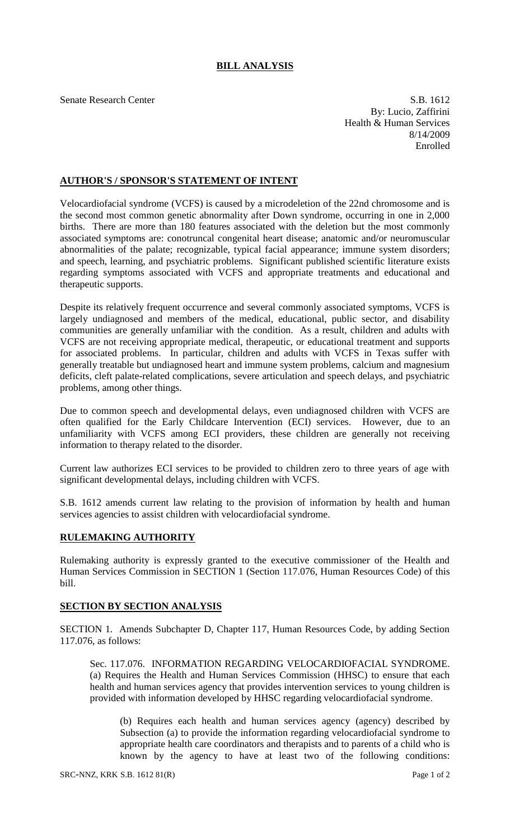## **BILL ANALYSIS**

Senate Research Center S.B. 1612 By: Lucio, Zaffirini Health & Human Services 8/14/2009 Enrolled

## **AUTHOR'S / SPONSOR'S STATEMENT OF INTENT**

Velocardiofacial syndrome (VCFS) is caused by a microdeletion of the 22nd chromosome and is the second most common genetic abnormality after Down syndrome, occurring in one in 2,000 births. There are more than 180 features associated with the deletion but the most commonly associated symptoms are: conotruncal congenital heart disease; anatomic and/or neuromuscular abnormalities of the palate; recognizable, typical facial appearance; immune system disorders; and speech, learning, and psychiatric problems. Significant published scientific literature exists regarding symptoms associated with VCFS and appropriate treatments and educational and therapeutic supports.

Despite its relatively frequent occurrence and several commonly associated symptoms, VCFS is largely undiagnosed and members of the medical, educational, public sector, and disability communities are generally unfamiliar with the condition. As a result, children and adults with VCFS are not receiving appropriate medical, therapeutic, or educational treatment and supports for associated problems. In particular, children and adults with VCFS in Texas suffer with generally treatable but undiagnosed heart and immune system problems, calcium and magnesium deficits, cleft palate-related complications, severe articulation and speech delays, and psychiatric problems, among other things.

Due to common speech and developmental delays, even undiagnosed children with VCFS are often qualified for the Early Childcare Intervention (ECI) services. However, due to an unfamiliarity with VCFS among ECI providers, these children are generally not receiving information to therapy related to the disorder.

Current law authorizes ECI services to be provided to children zero to three years of age with significant developmental delays, including children with VCFS.

S.B. 1612 amends current law relating to the provision of information by health and human services agencies to assist children with velocardiofacial syndrome.

## **RULEMAKING AUTHORITY**

Rulemaking authority is expressly granted to the executive commissioner of the Health and Human Services Commission in SECTION 1 (Section 117.076, Human Resources Code) of this bill.

## **SECTION BY SECTION ANALYSIS**

SECTION 1. Amends Subchapter D, Chapter 117, Human Resources Code, by adding Section 117.076, as follows:

Sec. 117.076. INFORMATION REGARDING VELOCARDIOFACIAL SYNDROME. (a) Requires the Health and Human Services Commission (HHSC) to ensure that each health and human services agency that provides intervention services to young children is provided with information developed by HHSC regarding velocardiofacial syndrome.

(b) Requires each health and human services agency (agency) described by Subsection (a) to provide the information regarding velocardiofacial syndrome to appropriate health care coordinators and therapists and to parents of a child who is known by the agency to have at least two of the following conditions: